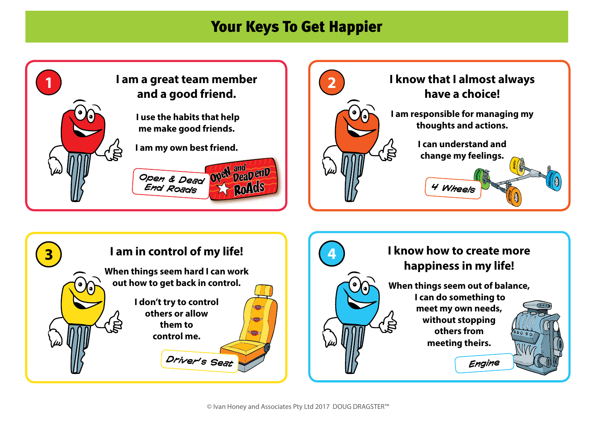## Your Keys To Get Happier